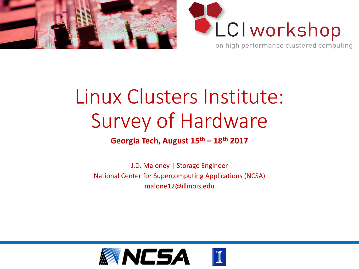



#### Linux Clusters Institute: Survey of Hardware

#### **Georgia Tech, August 15th – 18th 2017**

J.D. Maloney | Storage Engineer National Center for Supercomputing Applications (NCSA) malone12@illinois.edu

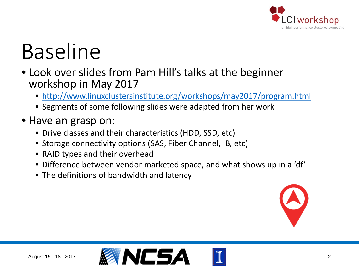

## Baseline

- Look over slides from Pam Hill's talks at the beginner workshop in May 2017
	- <http://www.linuxclustersinstitute.org/workshops/may2017/program.html>
	- Segments of some following slides were adapted from her work
- Have an grasp on:
	- Drive classes and their characteristics (HDD, SSD, etc)
	- Storage connectivity options (SAS, Fiber Channel, IB, etc)
	- RAID types and their overhead
	- Difference between vendor marketed space, and what shows up in a 'df'
	- The definitions of bandwidth and latency





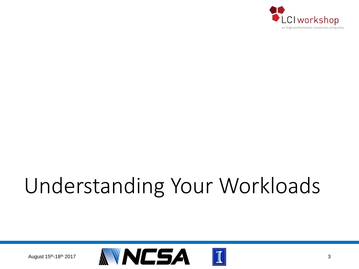

# Understanding Your Workloads

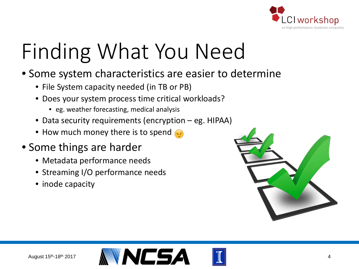

# Finding What You Need

- Some system characteristics are easier to determine
	- File System capacity needed (in TB or PB)
	- Does your system process time critical workloads?
		- eg. weather forecasting, medical analysis
	- Data security requirements (encryption eg. HIPAA)
	- How much money there is to spend
- Some things are harder
	- Metadata performance needs
	- Streaming I/O performance needs
	- inode capacity





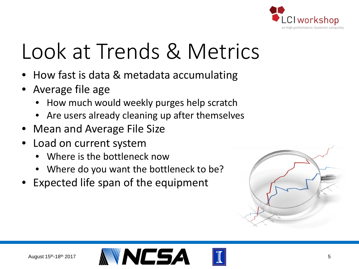

# Look at Trends & Metrics

- How fast is data & metadata accumulating
- Average file age
	- How much would weekly purges help scratch
	- Are users already cleaning up after themselves
- Mean and Average File Size
- Load on current system
	- Where is the bottleneck now
	- Where do you want the bottleneck to be?
- Expected life span of the equipment





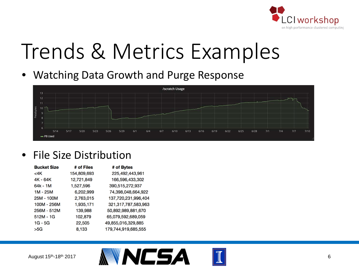

## Trends & Metrics Examples

• Watching Data Growth and Purge Response



#### • File Size Distribution

| <b>Bucket Size</b> | # of Files  | # of Bytes          |
|--------------------|-------------|---------------------|
| <4K                | 154,809,693 | 225,492,443,961     |
| 4K - 64K           | 12,721,849  | 166,596,433,302     |
| $64k - 1M$         | 1,527,596   | 390,515,272,937     |
| $1M - 25M$         | 6,202,999   | 74.398.048.664.922  |
| 25M - 100M         | 2,763,015   | 137,720,231,996,404 |
| 100M - 256M        | 1,935,171   | 321,317,787,583,963 |
| 256M - 512M        | 139,988     | 50,892,989,881,670  |
| $512M - 1G$        | 102,879     | 65,079,592,689,059  |
| $1G - 5G$          | 22,505      | 49,855,016,329,885  |
| >5G                | 8,133       | 179,744,919,685,555 |



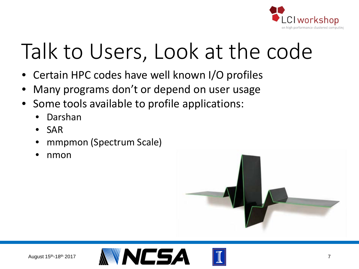

## Talk to Users, Look at the code

- Certain HPC codes have well known I/O profiles
- Many programs don't or depend on user usage
- Some tools available to profile applications:
	- Darshan
	- SAR
	- mmpmon (Spectrum Scale)
	- nmon





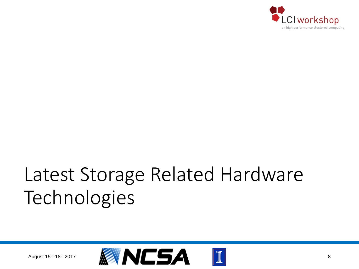

#### Latest Storage Related Hardware Technologies

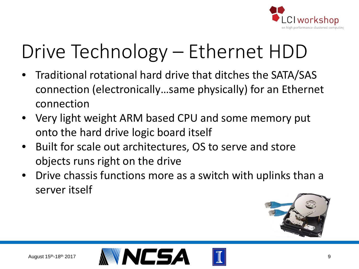

### Drive Technology – Ethernet HDD

- Traditional rotational hard drive that ditches the SATA/SAS connection (electronically…same physically) for an Ethernet connection
- Very light weight ARM based CPU and some memory put onto the hard drive logic board itself
- Built for scale out architectures, OS to serve and store objects runs right on the drive
- Drive chassis functions more as a switch with uplinks than a server itself





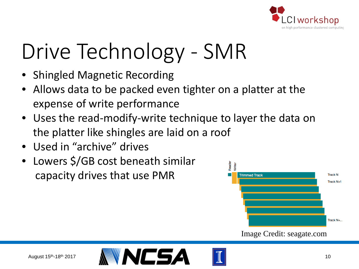

# Drive Technology - SMR

- Shingled Magnetic Recording
- Allows data to be packed even tighter on a platter at the expense of write performance
- Uses the read-modify-write technique to layer the data on the platter like shingles are laid on a roof
- Used in "archive" drives
- Lowers \$/GB cost beneath similar capacity drives that use PMR



Image Credit: seagate.com

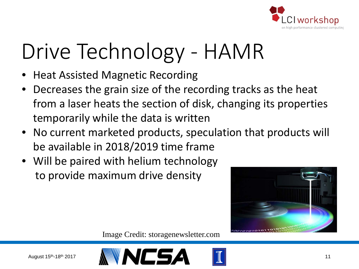

# Drive Technology - HAMR

- Heat Assisted Magnetic Recording
- Decreases the grain size of the recording tracks as the heat from a laser heats the section of disk, changing its properties temporarily while the data is written
- No current marketed products, speculation that products will be available in 2018/2019 time frame
- Will be paired with helium technology to provide maximum drive density



Image Credit: storagenewsletter.com



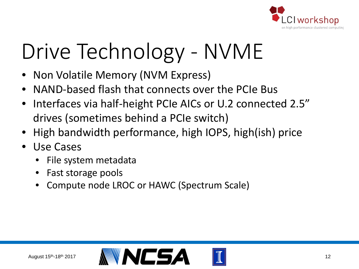

# Drive Technology - NVME

- Non Volatile Memory (NVM Express)
- NAND-based flash that connects over the PCIe Bus
- Interfaces via half-height PCIe AICs or U.2 connected 2.5" drives (sometimes behind a PCIe switch)
- High bandwidth performance, high IOPS, high(ish) price
- Use Cases
	- File system metadata
	- Fast storage pools
	- Compute node LROC or HAWC (Spectrum Scale)

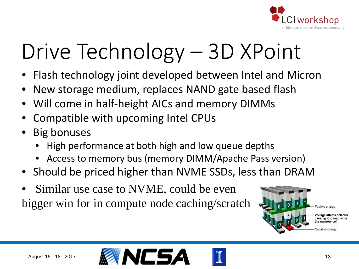

# Drive Technology – 3D XPoint

- Flash technology joint developed between Intel and Micron
- New storage medium, replaces NAND gate based flash
- Will come in half-height AICs and memory DIMMs
- Compatible with upcoming Intel CPUs
- Big bonuses
	- High performance at both high and low queue depths
	- Access to memory bus (memory DIMM/Apache Pass version)
- Should be priced higher than NVME SSDs, less than DRAM
- Similar use case to NVME, could be even bigger win for in compute node caching/scratch







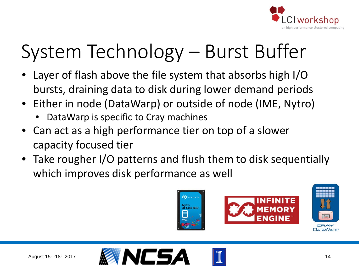

### System Technology – Burst Buffer

- Layer of flash above the file system that absorbs high I/O bursts, draining data to disk during lower demand periods
- Either in node (DataWarp) or outside of node (IME, Nytro)
	- DataWarp is specific to Cray machines
- Can act as a high performance tier on top of a slower capacity focused tier
- Take rougher I/O patterns and flush them to disk sequentially which improves disk performance as well







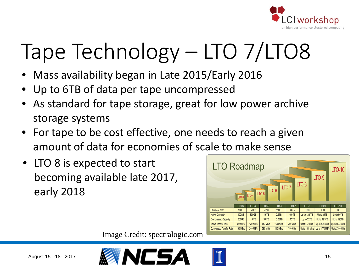

# Tape Technology – LTO 7/LTO8

- Mass availability began in Late 2015/Early 2016
- Up to 6TB of data per tape uncompressed
- As standard for tape storage, great for low power archive storage systems
- For tape to be cost effective, one needs to reach a given amount of data for economies of scale to make sense
- LTO 8 is expected to start becoming available late 2017, early 2018



Image Credit: spectralogic.com



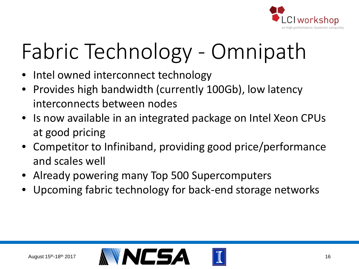

# Fabric Technology - Omnipath

- Intel owned interconnect technology
- Provides high bandwidth (currently 100Gb), low latency interconnects between nodes
- Is now available in an integrated package on Intel Xeon CPUs at good pricing
- Competitor to Infiniband, providing good price/performance and scales well
- Already powering many Top 500 Supercomputers
- Upcoming fabric technology for back-end storage networks

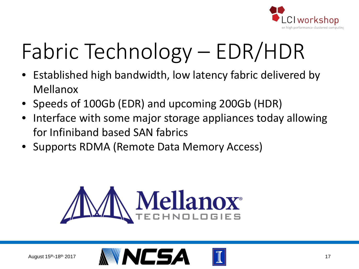

# Fabric Technology – EDR/HDR

- Established high bandwidth, low latency fabric delivered by Mellanox
- Speeds of 100Gb (EDR) and upcoming 200Gb (HDR)
- Interface with some major storage appliances today allowing for Infiniband based SAN fabrics
- Supports RDMA (Remote Data Memory Access)



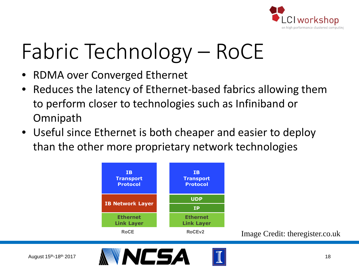

# Fabric Technology – RoCE

- RDMA over Converged Ethernet
- Reduces the latency of Ethernet-based fabrics allowing them to perform closer to technologies such as Infiniband or Omnipath
- Useful since Ethernet is both cheaper and easier to deploy than the other more proprietary network technologies



Image Credit: theregister.co.uk

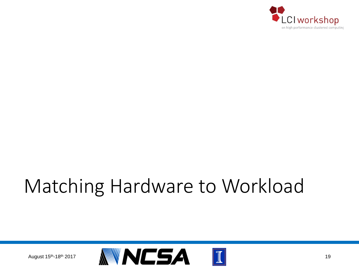

#### Matching Hardware to Workload

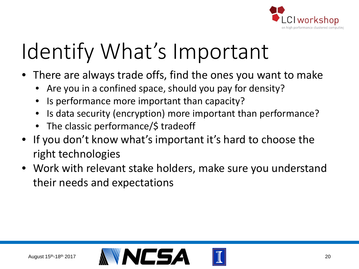

## Identify What's Important

- There are always trade offs, find the ones you want to make
	- Are you in a confined space, should you pay for density?
	- Is performance more important than capacity?
	- Is data security (encryption) more important than performance?
	- The classic performance/\$ tradeoff
- If you don't know what's important it's hard to choose the right technologies
- Work with relevant stake holders, make sure you understand their needs and expectations

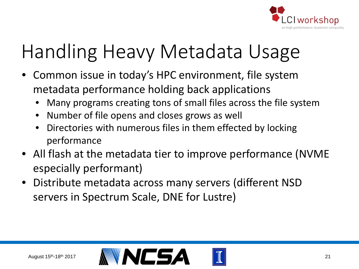

### Handling Heavy Metadata Usage

- Common issue in today's HPC environment, file system metadata performance holding back applications
	- Many programs creating tons of small files across the file system
	- Number of file opens and closes grows as well
	- Directories with numerous files in them effected by locking performance
- All flash at the metadata tier to improve performance (NVME especially performant)
- Distribute metadata across many servers (different NSD servers in Spectrum Scale, DNE for Lustre)

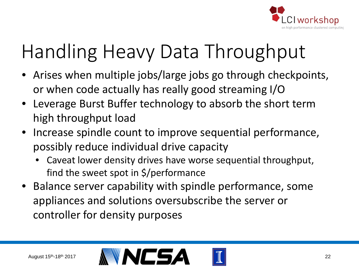

## Handling Heavy Data Throughput

- Arises when multiple jobs/large jobs go through checkpoints, or when code actually has really good streaming I/O
- Leverage Burst Buffer technology to absorb the short term high throughput load
- Increase spindle count to improve sequential performance, possibly reduce individual drive capacity
	- Caveat lower density drives have worse sequential throughput, find the sweet spot in \$/performance
- Balance server capability with spindle performance, some appliances and solutions oversubscribe the server or controller for density purposes

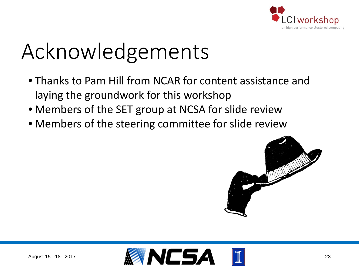

# Acknowledgements

- Thanks to Pam Hill from NCAR for content assistance and laying the groundwork for this workshop
- Members of the SET group at NCSA for slide review
- Members of the steering committee for slide review